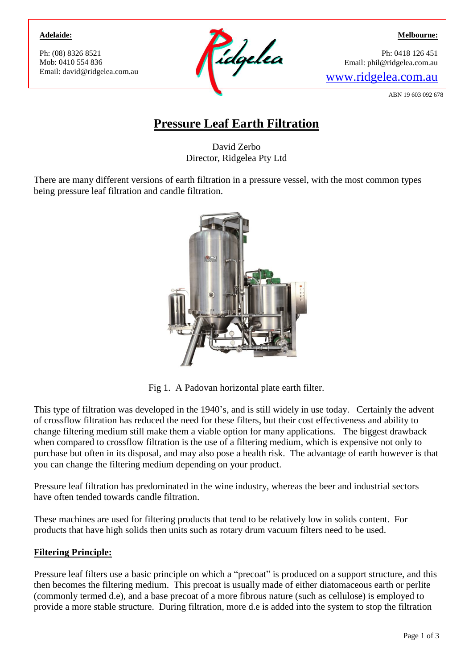#### **Adelaide:**

Ph: (08) 8326 8521 Mob: 0410 554 836



**Melbourne:**

Ph: 0418 126 451 Email: phil@ridgelea.com.au

ABN 19 603 092 678

# **Pressure Leaf Earth Filtration**

David Zerbo Director, Ridgelea Pty Ltd

There are many different versions of earth filtration in a pressure vessel, with the most common types being pressure leaf filtration and candle filtration.



Fig 1. A Padovan horizontal plate earth filter.

This type of filtration was developed in the 1940's, and is still widely in use today. Certainly the advent of crossflow filtration has reduced the need for these filters, but their cost effectiveness and ability to change filtering medium still make them a viable option for many applications. The biggest drawback when compared to crossflow filtration is the use of a filtering medium, which is expensive not only to purchase but often in its disposal, and may also pose a health risk. The advantage of earth however is that you can change the filtering medium depending on your product.

Pressure leaf filtration has predominated in the wine industry, whereas the beer and industrial sectors have often tended towards candle filtration.

These machines are used for filtering products that tend to be relatively low in solids content. For products that have high solids then units such as rotary drum vacuum filters need to be used.

## **Filtering Principle:**

Pressure leaf filters use a basic principle on which a "precoat" is produced on a support structure, and this then becomes the filtering medium. This precoat is usually made of either diatomaceous earth or perlite (commonly termed d.e), and a base precoat of a more fibrous nature (such as cellulose) is employed to provide a more stable structure. During filtration, more d.e is added into the system to stop the filtration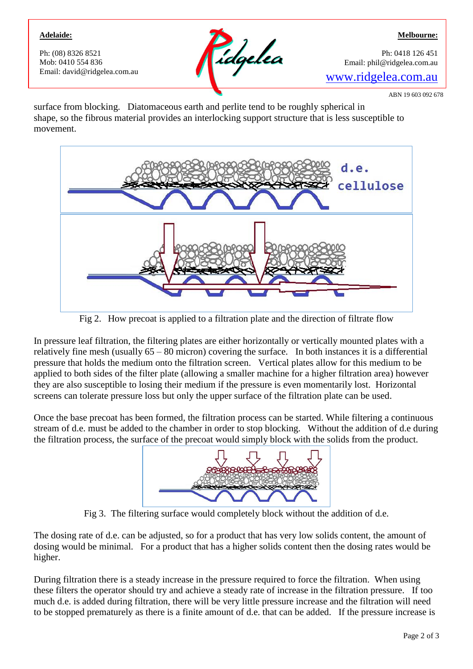### **Adelaide:**

Ph: (08) 8326 8521 Mob: 0410 554 836



Ph: 0418 126 451 Email: phil@ridgelea.com.au

ABN 19 603 092 678

**Melbourne:**

surface from blocking. Diatomaceous earth and perlite tend to be roughly spherical in shape, so the fibrous material provides an interlocking support structure that is less susceptible to movement.



Fig 2. How precoat is applied to a filtration plate and the direction of filtrate flow

In pressure leaf filtration, the filtering plates are either horizontally or vertically mounted plates with a relatively fine mesh (usually 65 – 80 micron) covering the surface. In both instances it is a differential pressure that holds the medium onto the filtration screen. Vertical plates allow for this medium to be applied to both sides of the filter plate (allowing a smaller machine for a higher filtration area) however they are also susceptible to losing their medium if the pressure is even momentarily lost. Horizontal screens can tolerate pressure loss but only the upper surface of the filtration plate can be used.

Once the base precoat has been formed, the filtration process can be started. While filtering a continuous stream of d.e. must be added to the chamber in order to stop blocking. Without the addition of d.e during the filtration process, the surface of the precoat would simply block with the solids from the product.



Fig 3. The filtering surface would completely block without the addition of d.e.

The dosing rate of d.e. can be adjusted, so for a product that has very low solids content, the amount of dosing would be minimal. For a product that has a higher solids content then the dosing rates would be higher.

During filtration there is a steady increase in the pressure required to force the filtration. When using these filters the operator should try and achieve a steady rate of increase in the filtration pressure. If too much d.e. is added during filtration, there will be very little pressure increase and the filtration will need to be stopped prematurely as there is a finite amount of d.e. that can be added. If the pressure increase is